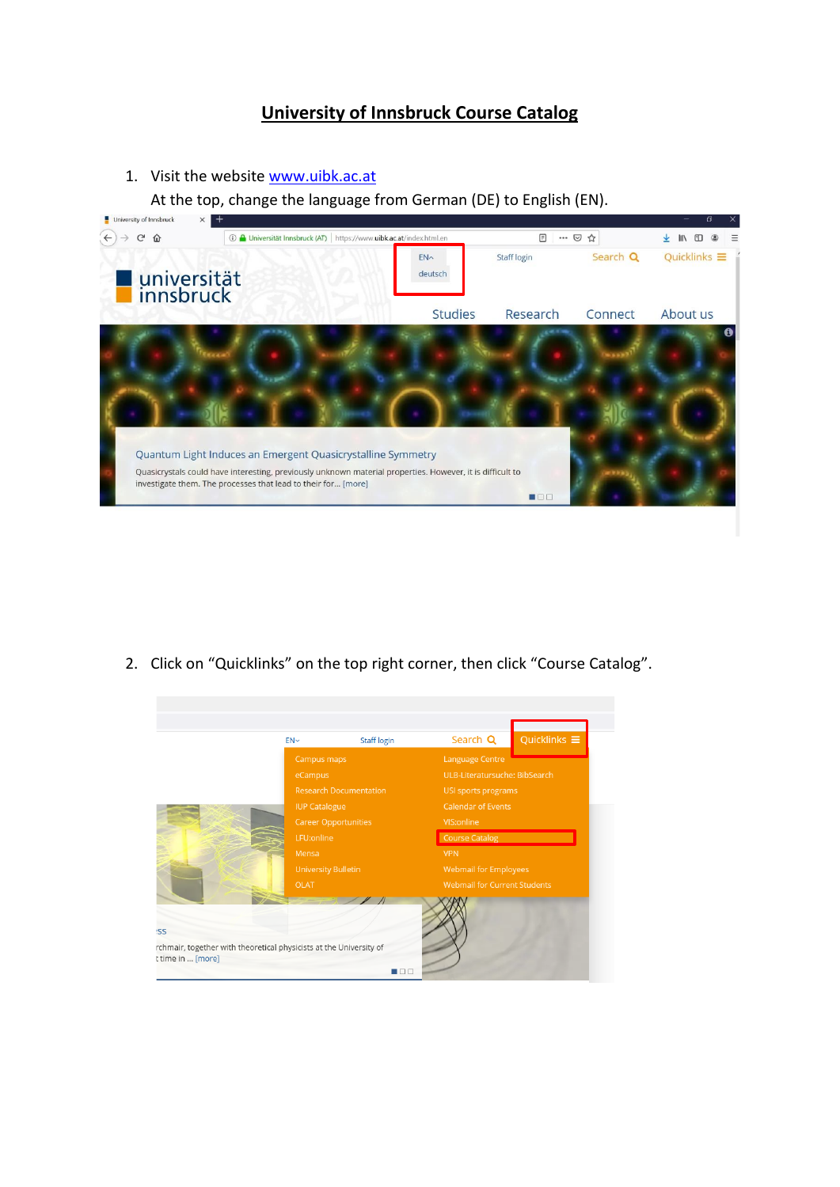## **University of Innsbruck Course Catalog**

1. Visit the website [www.uibk.ac.at](http://www.uibk.ac.at/)

At the top, change the language from German (DE) to English (EN).

| <b>CHIVEISITÀ OI ILIIIPINEK</b> |                                                                                                                                                                                                                                           |                 |              |          |                     |
|---------------------------------|-------------------------------------------------------------------------------------------------------------------------------------------------------------------------------------------------------------------------------------------|-----------------|--------------|----------|---------------------|
| G<br>⇧                          | A Universität Innsbruck (AT) https://www.uibk.ac.at/index.html.en<br>$\odot$                                                                                                                                                              |                 | F<br>        | ☑<br>☆   |                     |
|                                 |                                                                                                                                                                                                                                           | FN <sub>^</sub> | Staff login  | Search Q | Quicklinks $\equiv$ |
| universität<br>innsbruck        |                                                                                                                                                                                                                                           | deutsch         |              |          |                     |
|                                 |                                                                                                                                                                                                                                           | <b>Studies</b>  | Research     | Connect  | About us            |
|                                 | Quantum Light Induces an Emergent Quasicrystalline Symmetry<br>Quasicrystals could have interesting, previously unknown material properties. However, it is difficult to<br>investigate them. The processes that lead to their for [more] |                 | <b>MEDIO</b> |          |                     |

2. Click on "Quicklinks" on the top right corner, then click "Course Catalog".

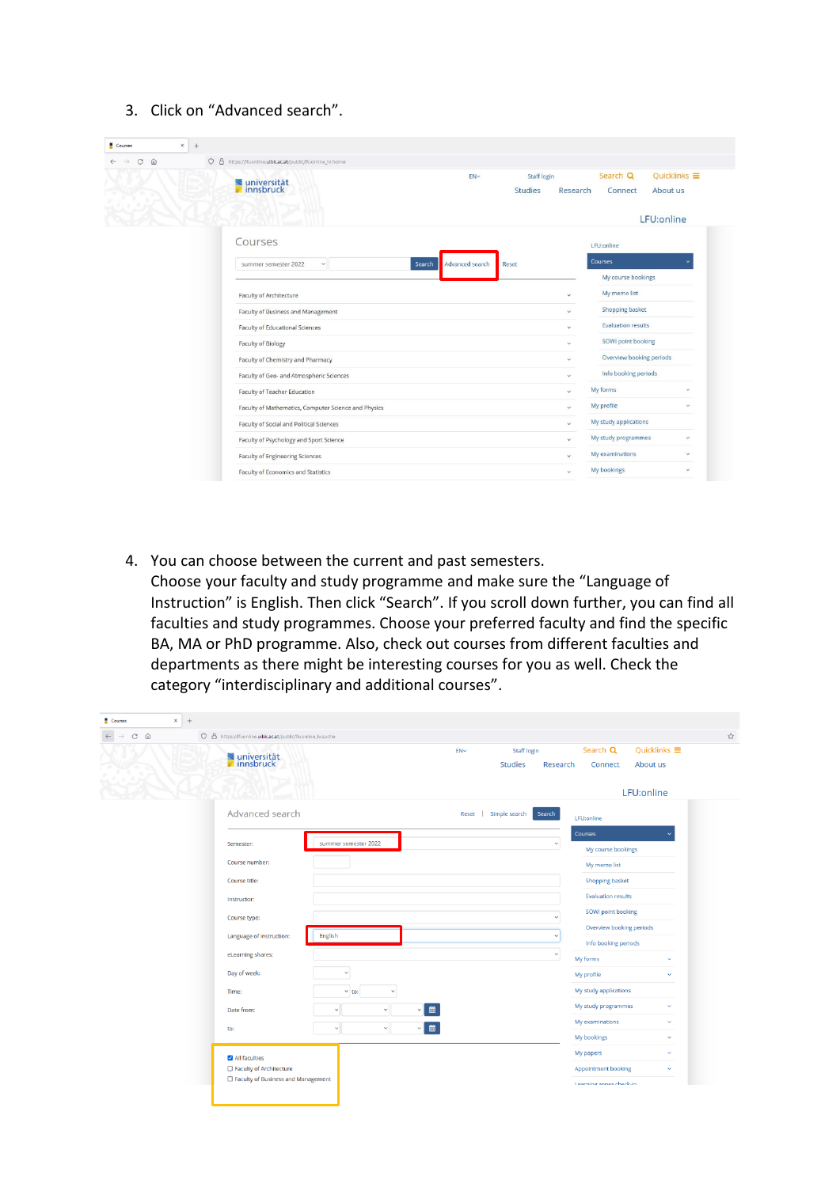3. Click on "Advanced search".

| Courses<br>$\times$            | $^{+}$                                                    |                           |                |              |                                                                                                                        |                     |
|--------------------------------|-----------------------------------------------------------|---------------------------|----------------|--------------|------------------------------------------------------------------------------------------------------------------------|---------------------|
| C<br>$\omega$<br>$\rightarrow$ | O & https://ffuonline.uibk.ac.at/public/lfuonline_lv.home |                           |                |              |                                                                                                                        |                     |
|                                |                                                           | EN <sub>v</sub>           | Staff login    |              | Search Q                                                                                                               | Quicklinks $\equiv$ |
|                                | universität<br>Innsbruck                                  |                           | <b>Studies</b> | Research     | Connect                                                                                                                | About us            |
|                                |                                                           |                           |                |              |                                                                                                                        | LFU:online          |
|                                | Courses                                                   |                           |                |              | LFU:online                                                                                                             |                     |
|                                | summer semester 2022<br>$\checkmark$                      | Advanced search<br>Search | Reset          |              | Courses                                                                                                                |                     |
|                                |                                                           |                           |                |              | My course bookings                                                                                                     |                     |
|                                | Faculty of Architecture                                   |                           |                | $\ddotmark$  | My memo list                                                                                                           |                     |
|                                | Faculty of Business and Management                        |                           |                | $\checkmark$ | Shopping basket<br><b>Evaluation results</b><br>SOWI point booking<br>Overview booking periods<br>Info booking periods |                     |
|                                | Faculty of Educational Sciences                           |                           |                | $\checkmark$ |                                                                                                                        |                     |
|                                | <b>Faculty of Biology</b>                                 |                           |                | $\ddot{}$    |                                                                                                                        |                     |
|                                | Faculty of Chemistry and Pharmacy                         |                           |                | $\ddot{}$    |                                                                                                                        |                     |
|                                | Faculty of Geo- and Atmospheric Sciences                  |                           |                | $\checkmark$ |                                                                                                                        |                     |
|                                | Faculty of Teacher Education                              |                           |                | v            | My forms                                                                                                               | v                   |
|                                | Faculty of Mathematics, Computer Science and Physics      |                           |                | $\checkmark$ | My profile                                                                                                             | $\sim$              |
|                                | Faculty of Social and Political Sciences                  |                           |                | $\checkmark$ | My study applications                                                                                                  |                     |
|                                | Faculty of Psychology and Sport Science                   |                           |                | $\ddotmark$  | My study programmes                                                                                                    | $\checkmark$        |
|                                | <b>Faculty of Engineering Sciences</b>                    |                           |                | $\sim$       | My examinations                                                                                                        | $\ddot{\sim}$       |
|                                | Faculty of Economics and Statistics                       |                           |                | $\sim$       | My bookings                                                                                                            | $\checkmark$        |

4. You can choose between the current and past semesters.

Choose your faculty and study programme and make sure the "Language of Instruction" is English. Then click "Search". If you scroll down further, you can find all faculties and study programmes. Choose your preferred faculty and find the specific BA, MA or PhD programme. Also, check out courses from different faculties and departments as there might be interesting courses for you as well. Check the category "interdisciplinary and additional courses".

| <b>Courses</b>                                                | $\times$ +                                                        |                              |                                                                                                                   |
|---------------------------------------------------------------|-------------------------------------------------------------------|------------------------------|-------------------------------------------------------------------------------------------------------------------|
| $\hat{\omega}$<br>$_{\rm C}$<br>$\leftarrow$<br>$\rightarrow$ | O & https://fuonline.uibk.ac.at/public/fuonline_lv.suche          |                              |                                                                                                                   |
|                                                               | universität<br>Innsbruck                                          |                              | Quicklinks $\equiv$<br>Search Q<br><b>Staff login</b><br>EN~<br><b>Studies</b><br>Research<br>Connect<br>About us |
|                                                               |                                                                   |                              | LFU:online                                                                                                        |
|                                                               | Advanced search                                                   |                              | Reset   Simple search<br>Search<br>LFU:online                                                                     |
|                                                               | Semester:                                                         | summer semester 2022         | <b>Courses</b><br>$\checkmark$                                                                                    |
|                                                               | Course number:                                                    |                              | My course bookings<br>My memo list                                                                                |
|                                                               | Course title:                                                     |                              | Shopping basket                                                                                                   |
|                                                               | Instructor:                                                       |                              | <b>Evaluation results</b>                                                                                         |
|                                                               | Course type:                                                      |                              | SOWI point booking                                                                                                |
|                                                               | Language of instruction:                                          | English                      | Overview booking periods<br>$\checkmark$<br>Info booking periods                                                  |
|                                                               | eLearning shares:                                                 |                              | $\checkmark$<br>My forms<br>$\sim$                                                                                |
|                                                               | Day of week:                                                      | $\checkmark$                 | My profile<br>$\checkmark$                                                                                        |
|                                                               | Time:                                                             | $\times$ to:<br>$\checkmark$ | My study applications                                                                                             |
|                                                               | Date from:                                                        | $\checkmark$<br>$\checkmark$ | My study programmes<br>$\sim$<br>鯩                                                                                |
|                                                               | to:                                                               | $\checkmark$<br>$\checkmark$ | My examinations<br>$\checkmark$<br>巤<br>$\vee$                                                                    |
|                                                               |                                                                   |                              | My bookings<br>$\checkmark$                                                                                       |
|                                                               | All faculties                                                     |                              | My papers<br>$\sim$                                                                                               |
|                                                               | □ Faculty of Architecture<br>□ Faculty of Business and Management |                              | Appointment booking<br>$\checkmark$                                                                               |
|                                                               |                                                                   |                              | Learning zones check-in                                                                                           |